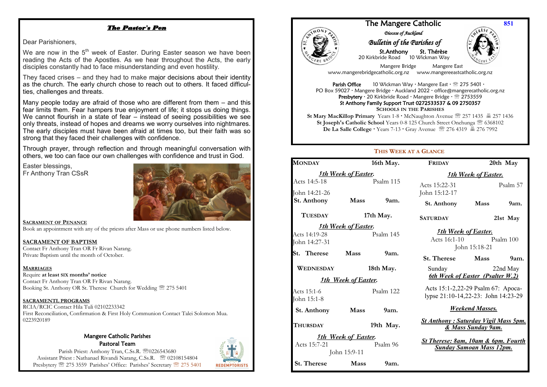## *The Pastor's Pen*

Dear Parishioners,

We are now in the  $5<sup>th</sup>$  week of Easter. During Easter season we have been reading the Acts of the Apostles. As we hear throughout the Acts, the early disciples constantly had to face misunderstanding and even hostility.

They faced crises – and they had to make major decisions about their identity as the church. The early church chose to reach out to others. It faced difficulties, challenges and threats.

Many people today are afraid of those who are different from them – and this fear limits them. Fear hampers true enjoyment of life; it stops us doing things. We cannot flourish in a state of fear – instead of seeing possibilities we see only threats, instead of hopes and dreams we worry ourselves into nightmares. The early disciples must have been afraid at times too, but their faith was so strong that they faced their challenges with confidence.

Through prayer, through reflection and through meaningful conversation with others, we too can face our own challenges with confidence and trust in God.

Easter blessings, Fr Anthony Tran CSsR



**SACRAMENT OF PENANCE**

Book an appointment with any of the priests after Mass or use phone numbers listed below.

**SACRAMENT OF BAPTISM** Contact Fr Anthony Tran OR Fr Rivan Narang. Private Baptism until the month of October.

### **MARRIAGES**

Booking St. Anthony OR St. Therese Church for Wedding  $\mathcal{D}$  275 5401 Require **at least SIX months' notice** Contact Fr Anthony Tran OR Fr Rivan Narang.

### **SACRAMENTL PROGRAMS**

 First Reconciliation, Confirmation & First Holy Communion Contact Talei Solomon Mua. RCIA/RCIC Contact Hila Tuli 02102233342 0223920189

#### Mangere Catholic Parishes Pastoral Team

Parish Priest: Anthony Tran, C.Ss.R. 20226543680 Assistant Priest : Nathanael Rivandi Narang, C.Ss.R. <sup>2</sup> 02108154804 Presbytery <sup>275</sup> 275 3559 Parishes' Office: Parishes' Secretary <sup>275</sup> 275 5401





### The Mangere Catholic *Diocese of Auckland*

# *Bulletin of the Parishes of*

 St.Anthony St. Thérèse 20 Kirkbride Road 10 Wickman Way



**851**

 Mangere Bridge Mangere East www.mangerebridgecatholic.org.nz www.mangereeastcatholic.org.nz

**Parish Office** 10 Wickman Way  $\cdot$  Mangere East  $\cdot \mathcal{D}$  275 5401  $\cdot$ PO Box 59027 · Mangere Bridge · Auckland 2022 · office@mangerecatholic.org.nz Presbytery · 20 Kirkbride Road · Mangere Bridge · <sup>2753559</sup> St Anthony Family Support Trust 0272533537 & 09 2750357 **SCHOOLS IN THE PARISHES**

**St Mary MacKillop Primary** Years 1-8 McNaughton Avenue 257 1435 257 1436 **St Joseph's Catholic School** Years 0-8 125 Church Street Onehunga 6368102 **De La Salle College · Years 7-13 · Gray Avenue <sup>22</sup> 276 4319 昌 276 7992** 

### **THIS WEEK AT A GLANCE**

| <b>MONDAY</b>                                                          |                            | 16th May.        | <b>FRIDAY</b>                                                                            | 20th May                         |
|------------------------------------------------------------------------|----------------------------|------------------|------------------------------------------------------------------------------------------|----------------------------------|
| <b>Sth Week of Easter.</b>                                             |                            |                  | <b><i>Sth Week of Easter.</i></b>                                                        |                                  |
| Acts 14:5-18                                                           |                            | Psalm 115        | Acts 15:22-31                                                                            | Psalm 57                         |
| John 14:21-26                                                          |                            |                  | John 15:12-17                                                                            |                                  |
| <b>St. Anthony</b>                                                     | <b>Mass</b>                | 9am.             | St. Anthony                                                                              | Mass<br>9am.                     |
| <b>TUESDAY</b>                                                         | 17th May.                  |                  | <b>SATURDAY</b>                                                                          | 21st May                         |
|                                                                        | <b>Sth Week of Easter.</b> |                  |                                                                                          |                                  |
| Acts 14:19-28                                                          | Psalm 145                  |                  | <b>Sth Week of Easter.</b>                                                               | Acts 16:1-10 Psalm 100           |
| John 14:27-31                                                          |                            |                  | John 15:18-21                                                                            |                                  |
| St. Therese                                                            | <b>Mass</b>                | 9am.             | <b>St. Therese</b>                                                                       | <b>Mass</b><br>9 <sub>am.</sub>  |
| WEDNESDAY                                                              |                            | 18th May.        | Sunday                                                                                   | 22nd May                         |
|                                                                        | <b>Sth Week of Easter.</b> |                  |                                                                                          | 6th Week of Easter (Psalter W.2) |
| Acts 15:1-6<br>John 15:1-8                                             | Psalm 122                  |                  | Acts 15:1-2,22-29 Psalm 67: Apoca-<br>lypse 21:10-14,22-23: John 14:23-29                |                                  |
| St. Anthony                                                            | Mass                       | 9 <sub>am.</sub> | <b>Weekend Masses.</b>                                                                   |                                  |
| <b>THURSDAY</b>                                                        | 19th May.                  |                  | <b>St Anthony: Saturday Vigil Mass 5pm.</b><br>& Mass Sunday 9am.                        |                                  |
| <b>Sth Week of Easter.</b><br>Acts 15:7-21<br>Psalm 96<br>John 15:9-11 |                            |                  | <b>St Therese: 8am, 10am &amp; 6pm. Fourth</b><br><b><u>Sunday Samoan Mass 12pm.</u></b> |                                  |
| St. Therese                                                            | <b>Mass</b>                | 9am.             |                                                                                          |                                  |